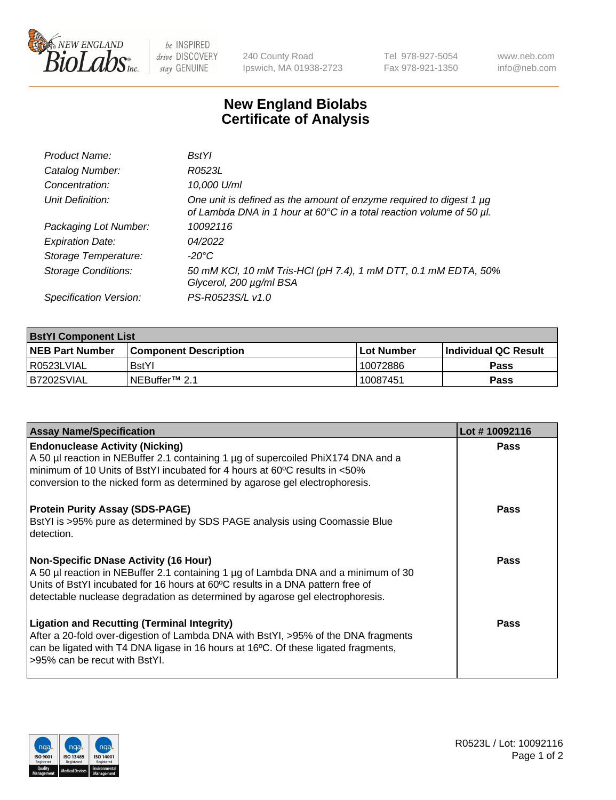

be INSPIRED drive DISCOVERY stay GENUINE

240 County Road Ipswich, MA 01938-2723 Tel 978-927-5054 Fax 978-921-1350

www.neb.com info@neb.com

## **New England Biolabs Certificate of Analysis**

| Product Name:              | BstYl                                                                                                                                       |
|----------------------------|---------------------------------------------------------------------------------------------------------------------------------------------|
| Catalog Number:            | R0523L                                                                                                                                      |
| Concentration:             | 10,000 U/ml                                                                                                                                 |
| Unit Definition:           | One unit is defined as the amount of enzyme required to digest 1 µg<br>of Lambda DNA in 1 hour at 60°C in a total reaction volume of 50 µl. |
| Packaging Lot Number:      | 10092116                                                                                                                                    |
| <b>Expiration Date:</b>    | 04/2022                                                                                                                                     |
| Storage Temperature:       | -20°C                                                                                                                                       |
| <b>Storage Conditions:</b> | 50 mM KCl, 10 mM Tris-HCl (pH 7.4), 1 mM DTT, 0.1 mM EDTA, 50%<br>Glycerol, 200 µg/ml BSA                                                   |
| Specification Version:     | PS-R0523S/L v1.0                                                                                                                            |

| <b>BstYI Component List</b> |                              |              |                             |  |  |
|-----------------------------|------------------------------|--------------|-----------------------------|--|--|
| <b>NEB Part Number</b>      | <b>Component Description</b> | l Lot Number | <b>Individual QC Result</b> |  |  |
| R0523LVIAL                  | <b>BstYI</b>                 | 10072886     | Pass                        |  |  |
| B7202SVIAL                  | INEBuffer™ 2.1               | 10087451     | Pass                        |  |  |

| <b>Assay Name/Specification</b>                                                                                                                                                                                                                                                                       | Lot #10092116 |
|-------------------------------------------------------------------------------------------------------------------------------------------------------------------------------------------------------------------------------------------------------------------------------------------------------|---------------|
| <b>Endonuclease Activity (Nicking)</b><br>A 50 µl reaction in NEBuffer 2.1 containing 1 µg of supercoiled PhiX174 DNA and a<br>minimum of 10 Units of BstYI incubated for 4 hours at 60°C results in <50%<br>conversion to the nicked form as determined by agarose gel electrophoresis.              | <b>Pass</b>   |
| <b>Protein Purity Assay (SDS-PAGE)</b><br>BstYI is >95% pure as determined by SDS PAGE analysis using Coomassie Blue<br>detection.                                                                                                                                                                    | <b>Pass</b>   |
| <b>Non-Specific DNase Activity (16 Hour)</b><br>A 50 µl reaction in NEBuffer 2.1 containing 1 µg of Lambda DNA and a minimum of 30<br>Units of BstYI incubated for 16 hours at 60°C results in a DNA pattern free of<br>detectable nuclease degradation as determined by agarose gel electrophoresis. | Pass          |
| <b>Ligation and Recutting (Terminal Integrity)</b><br>After a 20-fold over-digestion of Lambda DNA with BstYI, >95% of the DNA fragments<br>can be ligated with T4 DNA ligase in 16 hours at 16°C. Of these ligated fragments,<br>>95% can be recut with BstYl.                                       | Pass          |